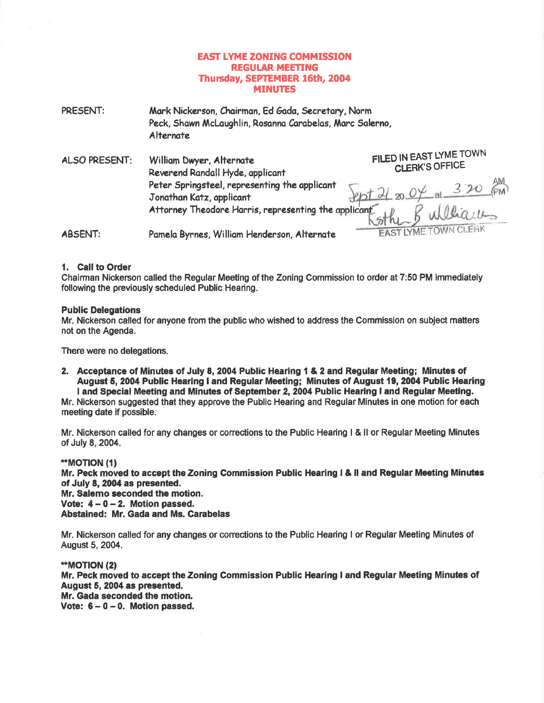# **EAST LYME ZONING COMMISSION REGULAR MEETING** Thursday, SEPTEMBER 16th, 2004 **MINUTES**

| PRESENT:             | Mark Nickerson, Chairman, Ed Gada, Secretary, Norm<br>Peck, Shawn McLaughlin, Rosanna Carabelas, Marc Salerno,<br>Alternate |                                           |
|----------------------|-----------------------------------------------------------------------------------------------------------------------------|-------------------------------------------|
| <b>ALSO PRESENT:</b> | William Dwyer, Alternate<br>Reverend Randall Hyde, applicant<br>Peter Springsteel, representing the applicant               | FILED IN EAST LYME TOWN<br>CLERK'S OFFICE |
|                      | Jonathan Katz, applicant<br>Attorney Theodore Harris, representing the applicant                                            |                                           |

Pamela Byrnes, William Henderson, Alternate **ABSENT:** 

# ÷.

 $20$ uu EAST LYME TOWN CLERK

# 1. Call to Order

Chairman Nickerson called the Regular Meeting of the Zoning Commission to order at 7:50 PM immediately following the previously scheduled Public Hearing.

# **Public Delegations**

Mr. Nickerson called for anyone from the public who wished to address the Commission on subject matters not on the Agenda.

There were no delegations.

2. Acceptance of Minutes of July 8, 2004 Public Hearing 1 & 2 and Regular Meeting; Minutes of August 5, 2004 Public Hearing I and Regular Meeting; Minutes of August 19, 2004 Public Hearing I and Special Meeting and Minutes of September 2, 2004 Public Hearing I and Regular Meeting.

Mr. Nickerson suggested that they approve the Public Hearing and Regular Minutes in one motion for each meeting date if possible.

Mr. Nickerson called for any changes or corrections to the Public Hearing 1 & II or Regular Meeting Minutes of July 8, 2004.

#### **"MOTION (1)**

Mr. Peck moved to accept the Zoning Commission Public Hearing I & II and Regular Meeting Minutes of July 8, 2004 as presented. Mr. Salemo seconded the motion. Vote:  $4 - 0 - 2$ . Motion passed.

Abstained: Mr. Gada and Ms. Carabelas

Mr. Nickerson called for any changes or corrections to the Public Hearing I or Regular Meeting Minutes of August 5, 2004.

#### **\*\*MOTION (2)**

Mr. Peck moved to accept the Zoning Commission Public Hearing I and Regular Meeting Minutes of August 5, 2004 as presented. Mr. Gada seconded the motion. Vote:  $6 - 0 - 0$ . Motion passed.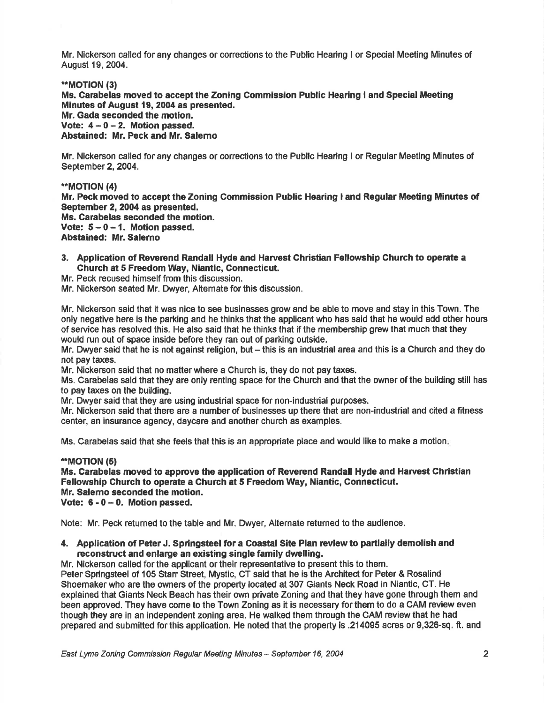Mr. Nickerson called for any changes or conections to the Public Hearing I or Special Meeting Minutes of August 19, 2004.

#### \*\*MOT|ON (3)

Ms. Garabelas moved to accept the Zoning Commission Public Hearing I and Special Meeting Minutes of August 19, 2004 as presented. Mr. Gada seconded the motion. Vote:  $4 - 0 - 2$ . Motion passed. Abstained: Mr. Peck and Mr. Salemo

Mr. Nickerson called for any changes or corrections to the Public Hearing I or Regular Meeting Minutes of September 2, 2004.

.\*MOT|ON (4)

Mr. Peck moved to accept the Zoning Gommission Public Hearing I and Regular Meeting Minutes of September 2, 2004 as presented.

Ms. Carabelas seconded the motion. Vote:  $5-0-1$ . Motion passed.

Abstained: Mr. Salerno

- 3. Application of Reverend Randall Hyde and Harvest Christian Fellowship Church to operate a Church at 5 Freedom Way, Niantic, Gonnecticut.
- Mr. Peck recused himself from this discussion.
- Mr. Nickerson seated Mr. Dwyer, Alternate for this discussion.

Mr. Nickerson said that it was nice to see businesses grow and be able to move and stay in this Town. The only negative here is the parking and he thinks that the applicant who has said that he would add other hours of service has resolved this. He dlso said that he thinks that if the memberchip grew that much that they would run out of space inside before they ran out of parking outside.

Mr. Dwyer said that he is not against religion, but – this is an industrial area and this is a Church and they do not pay taxes.

Mr. Nickerson said that no matterwhere a Church is, they do not pay taxes.

Ms. Carabelas said that they are only renting space forthe Church and that the owner of the building still has to pay taxes on the building.

Mr. Dwyer said that they are using industrial space for non-industrial purposes.

Mr. Nickerson said that there are a number of businesses up there that are non-industrial and cited a fitness center, an insurance agency, daycare and another church as examples.

Ms. Carabelas said that she feels that this is an appropriate place and would like to make a motion

#### \*MOT|ON (5)

Ms. Garabelas moved to approve the application of Reverend Randall Hyde and Harvest Ghristian Fellowship Ghurch to operate a Church at 5 Freedom Way, Niantic, Connecticut. Mr. Salemo seconded the motion. Vote:  $6 - 0 - 0$ . Motion passed.

Note: Mr. Peck returned to the table and Mr. Dwyer, Alternate returned to the audience.

## 4. Application of Peter J. Springsteel for a Coastal Site Plan review to partially demolish and reconstruct and enlarge an existing single family dwelling.

Mr. Nickerson called for the applicant or their representative to present this to them, Peter Springsteel of 105 Stan Street, Mystic, CT said that he is the Architect for Peter & Rosalind Shoemakerwho are the owners of the property located at 307 Giants Neck Road in Niantic, CT. He explained that Giants Neck Beach has their own private Zoning and that they have gone through them and been approved. They have come to the Town Zoning as it is necessary forthem to do a CAM review even though they are in an independent zoning area. He walked them through the CAM review that he had prepared and submitted forthis application, He noted that the property is .214095 acres or 9,326-sq. ft. and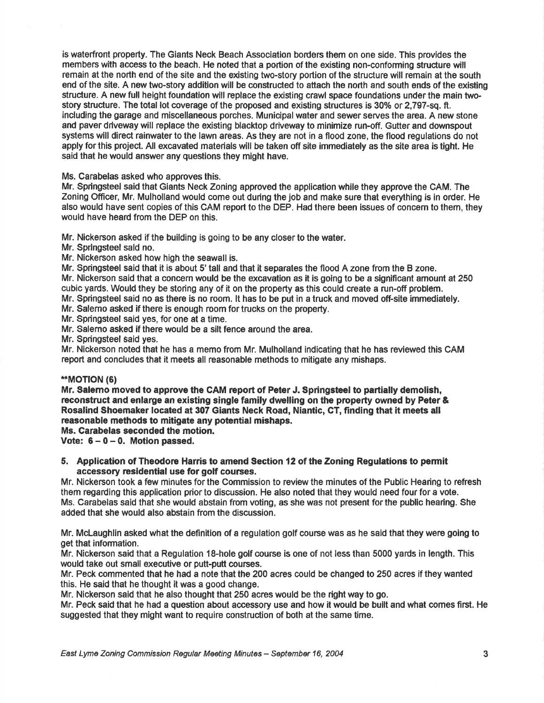is waterfront property. The Giants Neck Beach Association borders them on one side. This provides the members with access to the beach. He noted that a portion of the existing non-conforming structure will remain at the north end of the site and the existing two-story portion of the structure will remain at the south end of the site. A new two-story addition will be constructed to attach the north and south ends of the existing structure. A new full height foundation will replace the existing crawl space foundations under the main twostory structure. The total lot coverage of the proposed and existing structures is 30% or 2.797-sq. ft. including the garage and miscellaneous porches. Municipal water and sewer serves the area. A new stone and paver driveway will replace the existing blacktop driveway to minimize run-off. Gutter and downspout systems wlll direct rainwater to the lawn areas. As they are not in a flood zone, the flood regulations do not apply for this project. All excavated materials will be taken off site immediately as the site area is tight. He said that he would answer any questions they might have.

Ms. Carabelas asked who approves this.

Mr. Springsteel said that Giants Neck Zoning approved the application while they approve the CAM. The Zoning Officer, Mr. Mulholland would come out during the job and make sure that everything is in order. He also would have sent copies of this CAM report to the DEP. Had there been issues of concem to them, they would have heard from the DEP on this.

Mr. Nickerson asked if the building is going to be any closer to the water.

Mr. Springsteel sald no.

Mr. Nickerson asked how high the seawall is.

Mr. Springsteel said that it is about 5' tall and that it separates the flood A zone from the B zone.

Mr. Nickerson said that a concern would be the excavation as it is going to be a significant amount at 250 cubic yards. Would they be storing any of it on the property as this could create a run-off problem.

Mr. Springsteel said no as there is no room. lt has to be put in a truck and moved off-site immediately.

Mr. Salemo asked if there is enough room for trucks on the property.

Mr. Springsteel said yes, for one at a time.

Mr. Salerno asked if there would be a silt fence around the area.

Mr. Springsteel said yes.

Mr. Nickerson noted that he has a memo from Mr. Mulholland indicating that he has reviewed this CAM report and concludes that it meets all reasonable methods to mitigate any mishaps.

#### \*MOTION (6)

Mr. Salemo moved to approve the CAM report of Peter J. Springsteel to partially demolish, reconstruct and enlarge an existing single family dwelling on the property owned by Peter & Rosalind Shoemaker located at 307 Giants Neck Road, Niantic, GT, finding that it meets all reasonable methods to mitigate any potential mishaps.

Ms. Carabelas seconded the motion.

Vote:  $6 - 0 - 0$ . Motion passed.

## 5. Application of Theodorc Harris to amend Section 12 of the Zoning Regulations to permit accessory residential use for golf courses.

Mr. Nickerson took a few minutes for the Commission to review the minutes of the Public Heafing to refresh them regarding this application prior to discussion. He also noted that they would need four for a vote. Ms. Carabelas said that she would abstain from voting, as she was not present forthe public hearing. She added that she would also abstain from the discussion.

Mr. Mclaughlin asked what the definition of a regulation golf course was as he said that they were going to get that information.

Mr. Nickerson said that a Regulation 18-hole golf course is one of not less than 5000 yards in length. This would take out small executive or putt-putt courses.

Mr. Peck commented that he had a note that the 200 acres could be changed to 250 acres if they wanted this. He said that he thought it was a good change.

Mr. Nickerson said that he also thought that 250 acres would be the right way to go.

Mr. Peck said that he had a question about accessory use and how it would be bullt and what comes first. He suggested that they might want to require construction of both at the same time.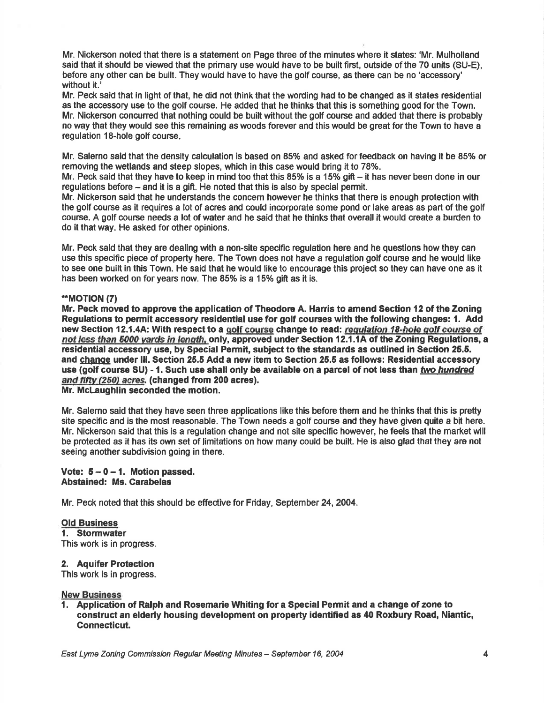Mr. Nickerson noted that there is a statement on Page three of the minutes where it states: 'Mr. Mulholland said that it should be viewed that the primary use would have to be built flrst, outside of the 70 units (SU-E), before any other can be built. They would have to have the golf course, as there can be no 'accessory' without it.'

Mr. Peck said that in light of that, he did not think that the wording had to be changed as it states residential as the accessory use to the golf course. He added that he thinks that this is something good for the Town. Mr. Nickerson concuned that nothing could be built without the golf course and added that there is probably no way that they would see this remaining as woods forever and this would be great forthe Town to have a regulation 18-hole golf course,

Mr. Salerno said that the density calculation is based on 85% and asked for feedback on having it be 85% or removing the wetlands and steep slopes, which in this case would bring it to 78%.

Mr. Peck said that they have to keep in mind too that this 85% is a 15% gift  $-$  it has never been done in our regulations before - and it is a gift. He noted that this is also by speclal permit.

Mr. Nickerson said that he understands the concem however be thinks that there is enough protection with the golf course as it requires a lot of acres and could incorporate some pond or lake areas as part of the golf course. A golf course needs a lot of water and he said that he thinks that overall it would create a burden to do it that way. He asked for other opinions,

Mr. Peck sald thet they are dealing with a non-site specific regulation here and he questions how they can use this specific piece of property here. The Town does not have a regulation golf course and he would like to see one built in this Town. He said that he would like to encourage this project so they can have one as it has been worked on for years now. The 85% is a 15% gift as it is.

## \*MOT|ON (71

Mr, Peck moved to approve the application of Theodore A. Harris to amend Section 12 of the Zoning Regulations to permit accessory residential use for golf courses with the following changes: 1. Add new Section 12.1.4A: With respect to a golf course change to read: regulation 18-hole golf course of not less than 5000 yards in length, only, approved under Section 12.1.1A of the Zoning Regulations, a residential accessory use, by \$pecial Permit, subiect to the standards as outlined in Section 25.5. and change under III. Section 25.5 Add a new item to Section 25.5 as follows: Residential accessory use (golf course SU) - 1. Such use shall only be available on a parcel of not less than two hundred and fifty (250) acres. (changed from 200 acres). Mr. Mclaughlin seconded the motion.

Mr. Salerno said that they have seen three applications like this before them and he thinks that this is pretty site specific and is the most reasonable. The Town needs a golf course and they have given quite a bit here. Mr. Nickerson said that this is a regulation change and not site specific however, he feels that the market will be protected as it has its own set of limitations on how many could be built. He is also glad that they are not seeing another subdivision going in there.

## Vote:  $5-0-1$ . Motion passed. Abstained: Ms. Garabelas

Mr. Peck noted that this should be effective for Friday, September 24,2004.

# Old Business

1. Stormwater This work is in progress.

# 2. Aquifer Protection

This work is in progress.

# New Business

1. Application of Ralph and Rosemarie Whiting for a Special Permit and a change of zone to construct an elderly housing development on property identified as 40 Roxbury Road, Niantic, Gonnecticut.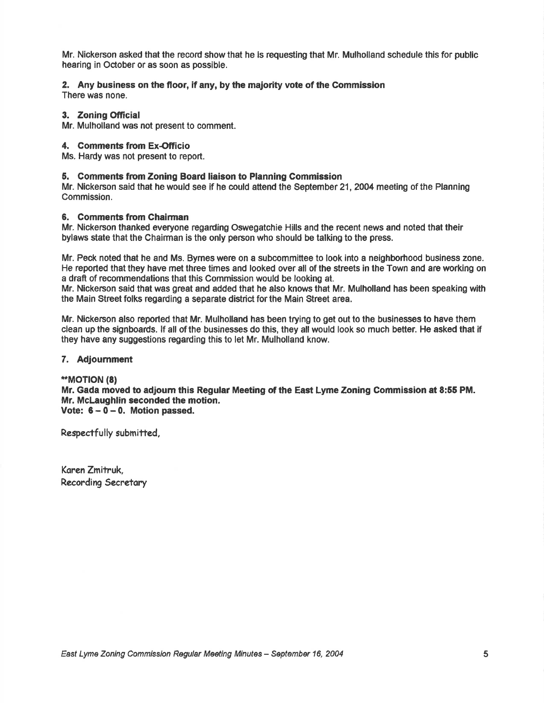Mr. Nickerson asked that the record show that he is requesting that Mr. Mulholland schedule this for public hearing in October or as soon as possible.

# 2. Any business on the floor, if any, by the maiority vote of the Commission

There was none.

# 3. Zoning Official

Mr. Mulholland was not present to comment.

# 4. Comments from Ex-Officio

Ms. Hardy was not present to report.

# 5. Comments fiom Zoning Board liaison to Planning Gommission

Mr. Nickerson said that he would see if he could attend the September 21,2004 meeting of the Planning Commission.

# 6. Comments from Chairman

Mr. Nickerson thanked everyone regarding Oswegatchie Hills and the recent news and noted that their bylaws state that the Chairman is the only person who should be talking to the press.

Mr. Peck noted that he and Ms. Bymes were on a subcommittee to look into a neighborhood business zone. He reported that they have met three times and looked over all of the streets in the Town and are working on a draft of recommendations that this Commission would be looking at.

Mr. Nickerson said that was great and added that he also knows that Mr. Mulholland has been speaking with the Main Street folks regarding a separate district forthe Main Street area.

Mr. Nickenson also reported that Mr. Mulholland has been trying to get out to the businesses to have them clean up the signboards. lf all of the businesses do this, they all would look so much better. He asked that if they have any suggestions regarding this to let Mr. Mulholland know.

# 7. Adjoumment

# \*MOTION (8)

Mr. Gada moved to adjoum this Regular Meeting of tho East Lyme Zoning Commission at 8:55 PM. Mr. McLaughlin seconded the motion. Vote:  $6 - 0 - 0$ . Motion passed.

Respectfully submitted,

Karen Zmitruk, Recording Secretory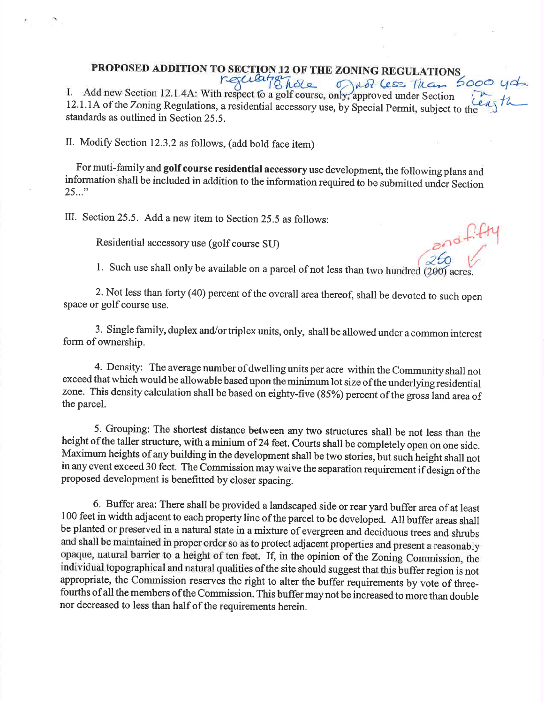# **PROPOSED ADDITION TO SECTION 12 OF THE ZONING REGULATIONS**

I. Add new Section 12.1.4A: With respect fo a golf course, only, approved under Section 1.1.1. A of the Zoning Regulations, a residential accessory use, by Special Permit, subject to the 12.1.1A of the Zoning Regulations, a residential accessory use, by Special Permit, subject to the standards as outlined in Section 25.5.

II. Modify Section 12.3.2 as follows, (add bold face item)

, For muti-family and golf course residential accessory use development, the following plans and information shall be included in addition to the information required to be submitted under Section  $25...$ "

III. Section 25.5. Add a new item to Section 25.5 as follows:

Residential accessory use (golf course SU)

1. Such use shall only be available on a parcel of not less than two hundred  $(200)$  acre

2. Not less than forty (40) percent of the overall area thereof, shall be devoted to such open space or golf course use.

3. Single family, duplex and/ortriplex units, only, shall be allowed under a common interest form of ownership.

4. Density: The average number of dwelling units per acre within the Community shall not exceed that which would be allowable based upon the minimum lot size of the underlying residential zone. This density calculation shall be based on eighty-five (85%) percent of the gross land area of the parcel.

5. Grouping: The shortest distance between any two structures shall be not less than the height of the taller structure, with a minium of 24 feet. Courts shall be completely open on one side. Maximum heights of any building in the development shall be two stories, but such height shall not in any event exceed 30 feet. The Commission may waive the separation requirement if design of the proposed development is benefitted by closer spacing.

6. Buffer area: There shall be provided a landscaped side or rear yard buffer area of at least 100 feet in width adjacent to each property line of the parcel to be developed. All buffer areas shall be planted or preserved in a natural state in a mixture of evergreen and deciduous trees and shrubs and shall be maintained in proper order so as to protect adjacent properties and present a reasonably opaque, natural barrier to a height of ten feet. If, in the opinion of the Zoning Commission, the individual topographical and natural qualities of the site should suggest that this buffer region is not appropriate, the Commission reseryes the right to alter the buffer requirements by vote of threefourths of all the members of the Commission. This buffer may not be increased to more than double nor decreased to less than half of the requirements herein.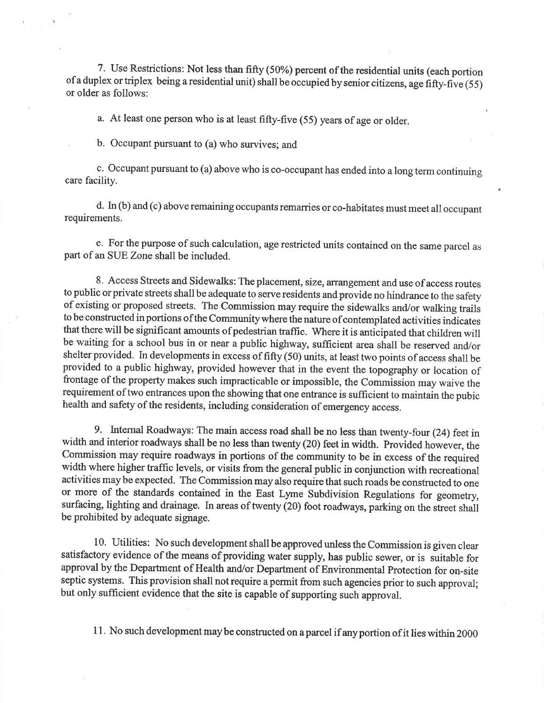7. Use Restrictions: Not less than fifty (50%) percent of the residential units (each portion of a duplex or triplex being a residential unit) shall be occupied by senior citizens, age fifty-five (55) or older as follows:

a. At least one person who is at least fifty-five (55) years of age or older.

b. Occupant pursuant to (a) who survives; and

c. Occupant pursuant to (a) above who is co-occupant has ended into a long term continuing care facility.

d. In (b) and (c) above remaining occupants remaries or co-habitates must meet all occupant requirements.

e. For the purpose of such calculation, age restricted units containcd on the same parcel as part of an SUE Zone shall be included.

8. Access Streets and Sidewalks: The placement, size, arrangement and use of access routes to public or private streets shall be adequate to serve residents and provide no hindrance to the safety of existing or proposed streets. The Commission may require the sidewalks and/or walking trails to be constructed in portions of the Community where the nature of contemplated activities indicates that there will be significant amounts of pedestrian traffic. Where it is anticipated that children will be waiting for a school bus in or near a public highway, sufficient area shall be reserved and/or shelter provided. In developments in excess of fifty  $(50)$  units, at least two points of access shall be provided to a public highway, provided however that in the event the topography or location of frontage of the property makes such impracticable or impossible, the Commission may waive the requirement of two entrances upon the showing that one entrance is sufficient to maintain the pubic health and safety of the residents, including consideration of emergency access.

9. Internal Roadways: The main access road shall be no less than twenty-four (24) feetin width and interior roadways shall be no less than twenty (20) feet in width. Provided however, the Commission may require roadways in portions of the community to be in excess of the required width where higher traffic levels, or visits from the general public in conjunction with recreational activities may be expected. The Commission may also require that such roads be constructed to one or more of the standards contained in the East Lyme Subdivision Regulations for geometry, surfacing, lighting and drainage. In areas of twenty (20) foot roadways, parking on the street shall be prohibited by adequate signage.

10. Utilities: No such development shall be approved unless the Commission is given clear satisfactory evidence of the means of providing water supply, has public sewer, or is suitable for approval by the Department of Health and/or Department of Environmental Protection for on-site septic systems. This provision shall not require a permit from such agencies prior to such approval; but only sufficient evidence that the site is capable of supporting such approval.

11. No such development may be constructed on a parcel if any portion of it lies within 2000